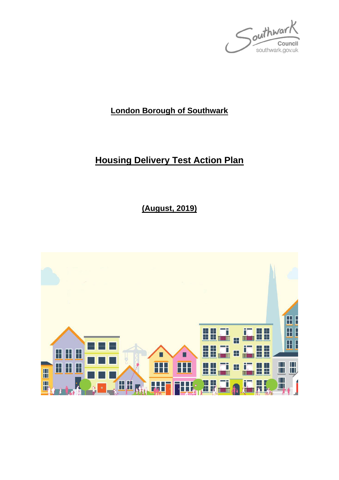Southwark Council southwark.gov.uk

# **London Borough of Southwark**

# **Housing Delivery Test Action Plan**

**(August, 2019)**

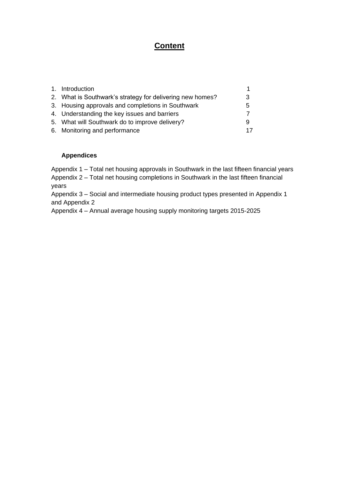## **Content**

| 1. Introduction                                           |    |
|-----------------------------------------------------------|----|
| 2. What is Southwark's strategy for delivering new homes? | 3  |
| 3. Housing approvals and completions in Southwark         | 5  |
| 4. Understanding the key issues and barriers              |    |
| 5. What will Southwark do to improve delivery?            | 9  |
| 6. Monitoring and performance                             | 17 |

## **Appendices**

Appendix 1 – Total net housing approvals in Southwark in the last fifteen financial years Appendix 2 – Total net housing completions in Southwark in the last fifteen financial years

Appendix 3 – Social and intermediate housing product types presented in Appendix 1 and Appendix 2

Appendix 4 – Annual average housing supply monitoring targets 2015-2025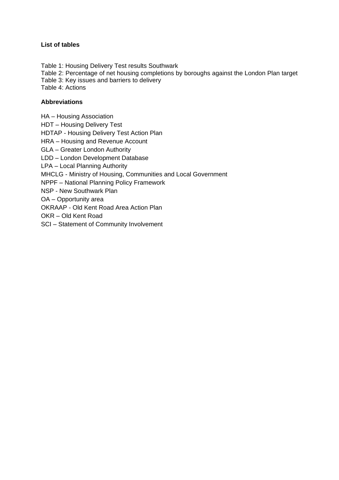#### **List of tables**

Table 1: Housing Delivery Test results Southwark Table 2: Percentage of net housing completions by boroughs against the London Plan target Table 3: Key issues and barriers to delivery Table 4: Actions

## **Abbreviations**

HA – Housing Association

HDT – Housing Delivery Test

HDTAP - Housing Delivery Test Action Plan

HRA – Housing and Revenue Account

GLA – Greater London Authority

LDD – London Development Database

LPA – Local Planning Authority

MHCLG - Ministry of Housing, Communities and Local Government

NPPF – National Planning Policy Framework

NSP - New Southwark Plan

OA – Opportunity area

OKRAAP - Old Kent Road Area Action Plan

OKR – Old Kent Road

SCI – Statement of Community Involvement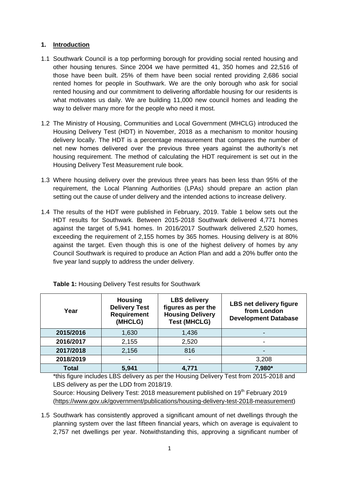## **1. Introduction**

- 1.1 Southwark Council is a top performing borough for providing social rented housing and other housing tenures. Since 2004 we have permitted 41, 350 homes and 22,516 of those have been built. 25% of them have been social rented providing 2,686 social rented homes for people in Southwark. We are the only borough who ask for social rented housing and our commitment to delivering affordable housing for our residents is what motivates us daily. We are building 11,000 new council homes and leading the way to deliver many more for the people who need it most.
- 1.2 The Ministry of Housing, Communities and Local Government (MHCLG) introduced the Housing Delivery Test (HDT) in November, 2018 as a mechanism to monitor housing delivery locally. The HDT is a percentage measurement that compares the number of net new homes delivered over the previous three years against the authority's net housing requirement. The method of calculating the HDT requirement is set out in the Housing Delivery Test Measurement rule book.
- 1.3 Where housing delivery over the previous three years has been less than 95% of the requirement, the Local Planning Authorities (LPAs) should prepare an action plan setting out the cause of under delivery and the intended actions to increase delivery.
- 1.4 The results of the HDT were published in February, 2019. Table 1 below sets out the HDT results for Southwark. Between 2015-2018 Southwark delivered 4,771 homes against the target of 5,941 homes. In 2016/2017 Southwark delivered 2,520 homes, exceeding the requirement of 2,155 homes by 365 homes. Housing delivery is at 80% against the target. Even though this is one of the highest delivery of homes by any Council Southwark is required to produce an Action Plan and add a 20% buffer onto the five year land supply to address the under delivery.

| Year         | <b>Housing</b><br><b>Delivery Test</b><br><b>Requirement</b><br>(MHCLG) | <b>LBS delivery</b><br>figures as per the<br><b>Housing Delivery</b><br><b>Test (MHCLG)</b> | <b>LBS net delivery figure</b><br>from London<br><b>Development Database</b> |
|--------------|-------------------------------------------------------------------------|---------------------------------------------------------------------------------------------|------------------------------------------------------------------------------|
| 2015/2016    | 1,630                                                                   | 1,436                                                                                       |                                                                              |
| 2016/2017    | 2,155                                                                   | 2,520                                                                                       |                                                                              |
| 2017/2018    | 2,156                                                                   | 816                                                                                         |                                                                              |
| 2018/2019    |                                                                         |                                                                                             | 3,208                                                                        |
| <b>Total</b> | 5,941                                                                   | 4,771                                                                                       | 7,980*                                                                       |

**Table 1:** Housing Delivery Test results for Southwark

\*this figure includes LBS delivery as per the Housing Delivery Test from 2015-2018 and LBS delivery as per the LDD from 2018/19.

Source: Housing Delivery Test: 2018 measurement published on 19<sup>th</sup> February 2019 [\(https://www.gov.uk/government/publications/housing-delivery-test-2018-measurement\)](https://www.gov.uk/government/publications/housing-delivery-test-2018-measurement)

1.5 Southwark has consistently approved a significant amount of net dwellings through the planning system over the last fifteen financial years, which on average is equivalent to 2,757 net dwellings per year. Notwithstanding this, approving a significant number of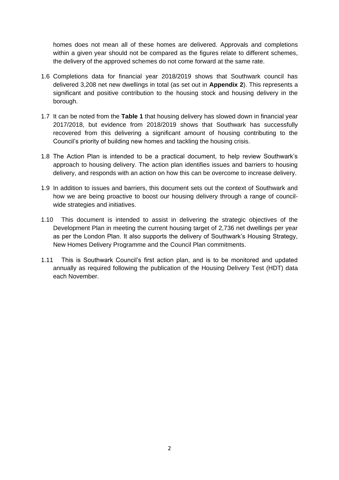homes does not mean all of these homes are delivered. Approvals and completions within a given year should not be compared as the figures relate to different schemes, the delivery of the approved schemes do not come forward at the same rate.

- 1.6 Completions data for financial year 2018/2019 shows that Southwark council has delivered 3,208 net new dwellings in total (as set out in **Appendix 2**). This represents a significant and positive contribution to the housing stock and housing delivery in the borough.
- 1.7 It can be noted from the **Table 1** that housing delivery has slowed down in financial year 2017/2018, but evidence from 2018/2019 shows that Southwark has successfully recovered from this delivering a significant amount of housing contributing to the Council's priority of building new homes and tackling the housing crisis.
- 1.8 The Action Plan is intended to be a practical document, to help review Southwark's approach to housing delivery. The action plan identifies issues and barriers to housing delivery, and responds with an action on how this can be overcome to increase delivery.
- 1.9 In addition to issues and barriers, this document sets out the context of Southwark and how we are being proactive to boost our housing delivery through a range of councilwide strategies and initiatives.
- 1.10 This document is intended to assist in delivering the strategic objectives of the Development Plan in meeting the current housing target of 2,736 net dwellings per year as per the London Plan. It also supports the delivery of Southwark's Housing Strategy, New Homes Delivery Programme and the Council Plan commitments.
- 1.11 This is Southwark Council's first action plan, and is to be monitored and updated annually as required following the publication of the Housing Delivery Test (HDT) data each November.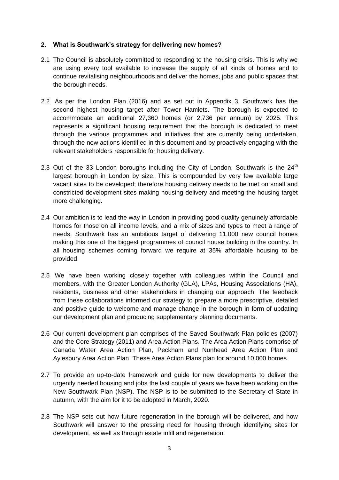## **2. What is Southwark's strategy for delivering new homes?**

- 2.1 The Council is absolutely committed to responding to the housing crisis. This is why we are using every tool available to increase the supply of all kinds of homes and to continue revitalising neighbourhoods and deliver the homes, jobs and public spaces that the borough needs.
- 2.2 As per the London Plan (2016) and as set out in Appendix 3, Southwark has the second highest housing target after Tower Hamlets. The borough is expected to accommodate an additional 27,360 homes (or 2,736 per annum) by 2025. This represents a significant housing requirement that the borough is dedicated to meet through the various programmes and initiatives that are currently being undertaken, through the new actions identified in this document and by proactively engaging with the relevant stakeholders responsible for housing delivery.
- 2.3 Out of the 33 London boroughs including the City of London, Southwark is the  $24<sup>th</sup>$ largest borough in London by size. This is compounded by very few available large vacant sites to be developed; therefore housing delivery needs to be met on small and constricted development sites making housing delivery and meeting the housing target more challenging.
- 2.4 Our ambition is to lead the way in London in providing good quality genuinely affordable homes for those on all income levels, and a mix of sizes and types to meet a range of needs. Southwark has an ambitious target of delivering 11,000 new council homes making this one of the biggest programmes of council house building in the country. In all housing schemes coming forward we require at 35% affordable housing to be provided.
- 2.5 We have been working closely together with colleagues within the Council and members, with the Greater London Authority (GLA), LPAs, Housing Associations (HA), residents, business and other stakeholders in changing our approach. The feedback from these collaborations informed our strategy to prepare a more prescriptive, detailed and positive guide to welcome and manage change in the borough in form of updating our development plan and producing supplementary planning documents.
- 2.6 Our current development plan comprises of the Saved Southwark Plan policies (2007) and the Core Strategy (2011) and Area Action Plans. The Area Action Plans comprise of Canada Water Area Action Plan, Peckham and Nunhead Area Action Plan and Aylesbury Area Action Plan. These Area Action Plans plan for around 10,000 homes.
- 2.7 To provide an up-to-date framework and guide for new developments to deliver the urgently needed housing and jobs the last couple of years we have been working on the New Southwark Plan (NSP). The NSP is to be submitted to the Secretary of State in autumn, with the aim for it to be adopted in March, 2020.
- 2.8 The NSP sets out how future regeneration in the borough will be delivered, and how Southwark will answer to the pressing need for housing through identifying sites for development, as well as through estate infill and regeneration.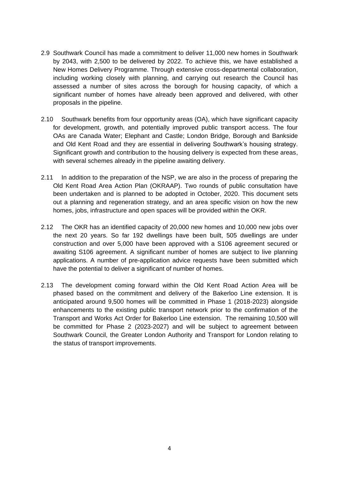- 2.9 Southwark Council has made a commitment to deliver 11,000 new homes in Southwark by 2043, with 2,500 to be delivered by 2022. To achieve this, we have established a New Homes Delivery Programme. Through extensive cross-departmental collaboration, including working closely with planning, and carrying out research the Council has assessed a number of sites across the borough for housing capacity, of which a significant number of homes have already been approved and delivered, with other proposals in the pipeline.
- 2.10 Southwark benefits from four opportunity areas (OA), which have significant capacity for development, growth, and potentially improved public transport access. The four OAs are Canada Water; Elephant and Castle; London Bridge, Borough and Bankside and Old Kent Road and they are essential in delivering Southwark's housing strategy. Significant growth and contribution to the housing delivery is expected from these areas, with several schemes already in the pipeline awaiting delivery.
- 2.11 In addition to the preparation of the NSP, we are also in the process of preparing the Old Kent Road Area Action Plan (OKRAAP). Two rounds of public consultation have been undertaken and is planned to be adopted in October, 2020. This document sets out a planning and regeneration strategy, and an area specific vision on how the new homes, jobs, infrastructure and open spaces will be provided within the OKR.
- 2.12 The OKR has an identified capacity of 20,000 new homes and 10,000 new jobs over the next 20 years. So far 192 dwellings have been built, 505 dwellings are under construction and over 5,000 have been approved with a S106 agreement secured or awaiting S106 agreement. A significant number of homes are subject to live planning applications. A number of pre-application advice requests have been submitted which have the potential to deliver a significant of number of homes.
- 2.13 The development coming forward within the Old Kent Road Action Area will be phased based on the commitment and delivery of the Bakerloo Line extension. It is anticipated around 9,500 homes will be committed in Phase 1 (2018-2023) alongside enhancements to the existing public transport network prior to the confirmation of the Transport and Works Act Order for Bakerloo Line extension. The remaining 10,500 will be committed for Phase 2 (2023-2027) and will be subject to agreement between Southwark Council, the Greater London Authority and Transport for London relating to the status of transport improvements.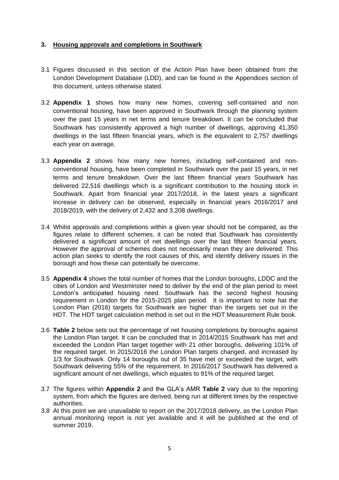## **3. Housing approvals and completions in Southwark**

- 3.1 Figures discussed in this section of the Action Plan have been obtained from the London Development Database (LDD), and can be found in the Appendices section of this document, unless otherwise stated.
- 3.2 **Appendix 1** shows how many new homes, covering self-contained and non conventional housing, have been approved in Southwark through the planning system over the past 15 years in net terms and tenure breakdown. It can be concluded that Southwark has consistently approved a high number of dwellings, approving 41,350 dwellings in the last fifteen financial years, which is the equivalent to 2,757 dwellings each year on average.
- 3.3 **Appendix 2** shows how many new homes, including self-contained and nonconventional housing, have been completed in Southwark over the past 15 years, in net terms and tenure breakdown. Over the last fifteen financial years Southwark has delivered 22,516 dwellings which is a significant contribution to the housing stock in Southwark. Apart from financial year 2017/2018, in the latest years a significant increase in delivery can be observed, especially in financial years 2016/2017 and 2018/2019, with the delivery of 2,432 and 3,208 dwellings.
- 3.4 Whilst approvals and completions within a given year should not be compared, as the figures relate to different schemes, it can be noted that Southwark has consistently delivered a significant amount of net dwellings over the last fifteen financial years. However the approval of schemes does not necessarily mean they are delivered. This action plan seeks to identify the root causes of this, and identify delivery issues in the borough and how these can potentially be overcome.
- 3.5 **Appendix 4** shows the total number of homes that the London boroughs, LDDC and the cities of London and Westminster need to deliver by the end of the plan period to meet London's anticipated housing need. Southwark has the second highest housing requirement in London for the 2015-2025 plan period. It is important to note hat the London Plan (2016) targets for Southwark are higher than the targets set out in the HDT. The HDT target calculation method is set out in the HDT Measurement Rule book.
- 3.6 **Table 2** below sets out the percentage of net housing completions by boroughs against the London Plan target. It can be concluded that in 2014/2015 Southwark has met and exceeded the London Plan target together with 21 other boroughs, delivering 101% of the required target. In 2015/2016 the London Plan targets changed, and increased by 1/3 for Southwark. Only 14 boroughs out of 35 have met or exceeded the target, with Southwark delivering 55% of the requirement. In 2016/2017 Southwark has delivered a significant amount of net dwellings, which equates to 91% of the required target.
- 3.7 The figures within **Appendix 2** and the GLA's AMR **Table 2** vary due to the reporting system, from which the figures are derived, being run at different times by the respective authorities.
- 3.8 At this point we are unavailable to report on the 2017/2018 delivery, as the London Plan annual monitoring report is not yet available and it will be published at the end of summer 2019.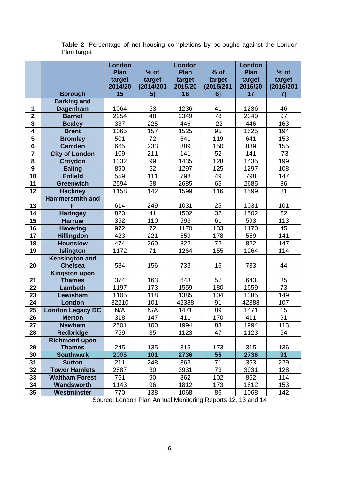**Table 2**: Percentage of net housing completions by boroughs against the London Plan target

|                         |                         | London      |           | London  |                 | <b>London</b> |              |
|-------------------------|-------------------------|-------------|-----------|---------|-----------------|---------------|--------------|
|                         |                         | <b>Plan</b> | $%$ of    | Plan    | $%$ of          | <b>Plan</b>   | $%$ of       |
|                         |                         | target      | target    | target  | target          | target        | target       |
|                         |                         | 2014/20     | (2014/201 | 2015/20 | (2015/201       | 2016/20       | (2016/201    |
|                         | <b>Borough</b>          | 15          | 5)        | 16      | 6)              | 17            | $\mathbf{7}$ |
|                         | <b>Barking and</b>      |             |           |         |                 |               |              |
| 1                       | <b>Dagenham</b>         | 1064        | 53        | 1236    | 41              | 1236          | 46           |
| $\overline{2}$          | <b>Barnet</b>           | 2254        | 48        | 2349    | 78              | 2349          | 97           |
| $\overline{\mathbf{3}}$ | <b>Bexley</b>           | 337         | 225       | 446     | $-22$           | 446           | 163          |
| $\overline{\mathbf{4}}$ | <b>Brent</b>            | 1065        | 157       | 1525    | 95              | 1525          | 194          |
| $\overline{\mathbf{5}}$ | <b>Bromley</b>          | 501         | 72        | 641     | 119             | 641           | 153          |
| $\overline{\mathbf{6}}$ | <b>Camden</b>           | 665         | 233       | 889     | 150             | 889           | 155          |
| $\overline{7}$          | <b>City of London</b>   | 109         | 211       | 141     | 52              | 141           | $-73$        |
| $\overline{\mathbf{8}}$ | <b>Croydon</b>          | 1332        | 99        | 1435    | 128             | 1435          | 199          |
| $\boldsymbol{9}$        | <b>Ealing</b>           | 890         | 52        | 1297    | 125             | 1297          | 108          |
| 10                      | <b>Enfield</b>          | 559         | 111       | 798     | 49              | 798           | 147          |
| 11                      | <b>Greenwich</b>        | 2594        | 58        | 2685    | 65              | 2685          | 86           |
| 12                      | <b>Hackney</b>          | 1158        | 142       | 1599    | 116             | 1599          | 81           |
|                         | <b>Hammersmith and</b>  |             |           |         |                 |               |              |
| 13                      | F                       | 614         | 249       | 1031    | 25              | 1031          | 101          |
| 14                      | <b>Haringey</b>         | 820         | 41        | 1502    | $\overline{32}$ | 1502          | 52           |
| 15                      | <b>Harrow</b>           | 352         | 110       | 593     | 61              | 593           | 113          |
| 16                      | <b>Havering</b>         | 972         | 72        | 1170    | 133             | 1170          | 45           |
| 17                      | <b>Hillingdon</b>       | 423         | 221       | 559     | 178             | 559           | 141          |
| 18                      | <b>Hounslow</b>         | 474         | 260       | 822     | 72              | 822           | 147          |
| 19                      | <b>Islington</b>        | 1172        | 71        | 1264    | 155             | 1264          | 114          |
|                         | <b>Kensington and</b>   |             |           |         |                 |               |              |
| 20                      | <b>Chelsea</b>          | 584         | 156       | 733     | 16              | 733           | 44           |
|                         | <b>Kingston upon</b>    |             |           |         |                 |               |              |
| 21                      | <b>Thames</b>           | 374         | 163       | 643     | 57              | 643           | 35           |
| 22                      | <b>Lambeth</b>          | 1197        | 173       | 1559    | 180             | 1559          | 73           |
| 23                      | Lewisham                | 1105        | 118       | 1385    | 104             | 1385          | 149          |
| 24                      | London                  | 32210       | 101       | 42388   | 91              | 42388         | 107          |
| 25                      | <b>London Legacy DC</b> | N/A         | N/A       | 1471    | 89              | 1471          | 15           |
| 26                      | <b>Merton</b>           | 318         | 147       | 411     | 170             | 411           | 91           |
| 27                      | <b>Newham</b>           | 2501        | 100       | 1994    | 83              | 1994          | 113          |
| 28                      | <b>Redbridge</b>        | 759         | 35        | 1123    | 47              | 1123          | 54           |
|                         | <b>Richmond upon</b>    |             |           |         |                 |               |              |
| 29                      | <b>Thames</b>           | 245         | 135       | 315     | 173             | 315           | 136          |
| 30                      | <b>Southwark</b>        | 2005        | 101       | 2736    | 55              | 2736          | 91           |
| 31                      | <b>Sutton</b>           | 211         | 248       | 363     | 71              | 363           | 229          |
| 32                      | <b>Tower Hamlets</b>    | 2887        | 30        | 3931    | 73              | 3931          | 128          |
| 33                      | <b>Waltham Forest</b>   | 761         | 90        | 862     | 102             | 862           | 114          |
| 34                      | Wandsworth              | 1143        | 96        | 1812    | 173             | 1812          | 153          |
| 35                      | Westminster             | 770         | 138       | 1068    | 86              | 1068          | 142          |

Source: London Plan Annual Monitoring Reports 12, 13 and 14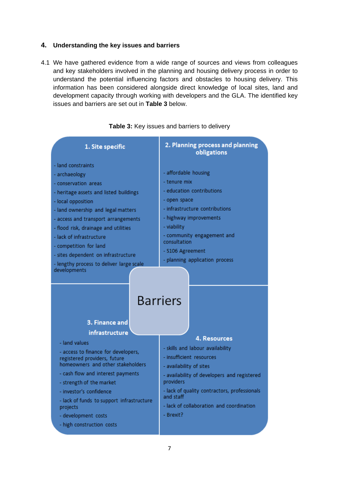#### **4. Understanding the key issues and barriers**

4.1 We have gathered evidence from a wide range of sources and views from colleagues and key stakeholders involved in the planning and housing delivery process in order to understand the potential influencing factors and obstacles to housing delivery. This information has been considered alongside direct knowledge of local sites, land and development capacity through working with developers and the GLA. The identified key issues and barriers are set out in **Table 3** below.

| 1. Site specific                                                                                                                                                                                                                                                                                                                                                                                          | 2. Planning process and planning<br>obligations                                                                                                                                                                                                                  |  |  |  |  |  |  |
|-----------------------------------------------------------------------------------------------------------------------------------------------------------------------------------------------------------------------------------------------------------------------------------------------------------------------------------------------------------------------------------------------------------|------------------------------------------------------------------------------------------------------------------------------------------------------------------------------------------------------------------------------------------------------------------|--|--|--|--|--|--|
| - land constraints<br>- archaeology<br>- conservation areas<br>- heritage assets and listed buildings<br>- local opposition<br>- land ownership and legal matters<br>- access and transport arrangements<br>- flood risk, drainage and utilities<br>- lack of infrastructure<br>- competition for land<br>- sites dependent on infrastructure<br>- lengthy process to deliver large scale<br>developments | - affordable housing<br>- tenure mix<br>- education contributions<br>- open space<br>- infrastructure contributions<br>- highway improvements<br>- viability<br>- community engagement and<br>consultation<br>- S106 Agreement<br>- planning application process |  |  |  |  |  |  |
| <b>Barriers</b><br>3. Finance and                                                                                                                                                                                                                                                                                                                                                                         |                                                                                                                                                                                                                                                                  |  |  |  |  |  |  |
| infrastructure                                                                                                                                                                                                                                                                                                                                                                                            | 4. Resources                                                                                                                                                                                                                                                     |  |  |  |  |  |  |
| - land values<br>- access to finance for developers,<br>registered providers, future<br>homeowners and other stakeholders<br>- cash flow and interest payments<br>- strength of the market<br>- investor's confidence<br>- lack of funds to support infrastructure                                                                                                                                        | - skills and labour availability<br>- insufficient resources<br>- availability of sites<br>- availability of developers and registered<br>providers<br>- lack of quality contractors, professionals<br>and staff<br>- lack of collaboration and coordination     |  |  |  |  |  |  |
| projects<br>- development, costs                                                                                                                                                                                                                                                                                                                                                                          | - Brexit?                                                                                                                                                                                                                                                        |  |  |  |  |  |  |

#### **Table 3:** Key issues and barriers to delivery

7

- development costs - high construction costs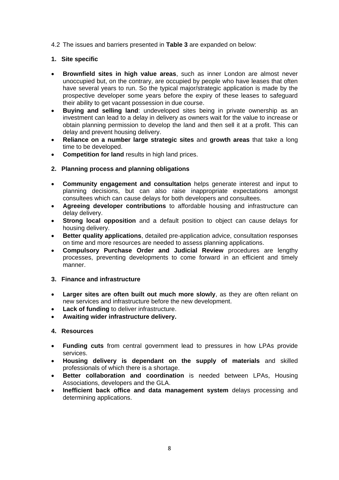4.2 The issues and barriers presented in **Table 3** are expanded on below:

### **1. Site specific**

- **Brownfield sites in high value areas**, such as inner London are almost never unoccupied but, on the contrary, are occupied by people who have leases that often have several years to run. So the typical major/strategic application is made by the prospective developer some years before the expiry of these leases to safeguard their ability to get vacant possession in due course.
- **Buying and selling land**: undeveloped sites being in private ownership as an investment can lead to a delay in delivery as owners wait for the value to increase or obtain planning permission to develop the land and then sell it at a profit. This can delay and prevent housing delivery.
- **Reliance on a number large strategic sites** and **growth areas** that take a long time to be developed.
- **Competition for land** results in high land prices.
- **2. Planning process and planning obligations**
- **Community engagement and consultation** helps generate interest and input to planning decisions, but can also raise inappropriate expectations amongst consultees which can cause delays for both developers and consultees.
- **Agreeing developer contributions** to affordable housing and infrastructure can delay delivery.
- **Strong local opposition** and a default position to object can cause delays for housing delivery.
- **Better quality applications**, detailed pre-application advice, consultation responses on time and more resources are needed to assess planning applications.
- **Compulsory Purchase Order and Judicial Review** procedures are lengthy processes, preventing developments to come forward in an efficient and timely manner.

#### **3. Finance and infrastructure**

- **Larger sites are often built out much more slowly**, as they are often reliant on new services and infrastructure before the new development.
- **Lack of funding** to deliver infrastructure.
- **Awaiting wider infrastructure delivery.**

#### **4. Resources**

- **Funding cuts** from central government lead to pressures in how LPAs provide services.
- **Housing delivery is dependant on the supply of materials** and skilled professionals of which there is a shortage.
- **Better collaboration and coordination** is needed between LPAs, Housing Associations, developers and the GLA.
- **Inefficient back office and data management system** delays processing and determining applications.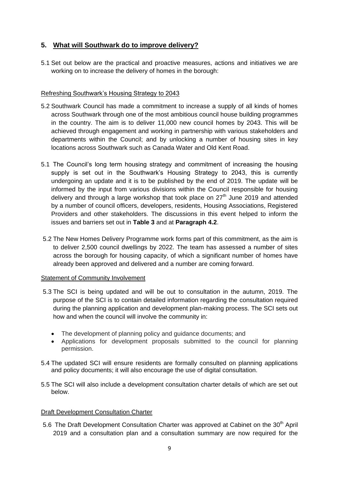## **5. What will Southwark do to improve delivery?**

5.1 Set out below are the practical and proactive measures, actions and initiatives we are working on to increase the delivery of homes in the borough:

## Refreshing Southwark's Housing Strategy to 2043

- 5.2 Southwark Council has made a commitment to increase a supply of all kinds of homes across Southwark through one of the most ambitious council house building programmes in the country. The aim is to deliver 11,000 new council homes by 2043. This will be achieved through engagement and working in partnership with various stakeholders and departments within the Council; and by unlocking a number of housing sites in key locations across Southwark such as Canada Water and Old Kent Road.
- 5.1 The Council's long term housing strategy and commitment of increasing the housing supply is set out in the Southwark's Housing Strategy to 2043, this is currently undergoing an update and it is to be published by the end of 2019. The update will be informed by the input from various divisions within the Council responsible for housing delivery and through a large workshop that took place on  $27<sup>th</sup>$  June 2019 and attended by a number of council officers, developers, residents, Housing Associations, Registered Providers and other stakeholders. The discussions in this event helped to inform the issues and barriers set out in **Table 3** and at **Paragraph 4.2**.
- 5.2 The New Homes Delivery Programme work forms part of this commitment, as the aim is to deliver 2,500 council dwellings by 2022. The team has assessed a number of sites across the borough for housing capacity, of which a significant number of homes have already been approved and delivered and a number are coming forward.

## Statement of Community Involvement

- 5.3 The SCI is being updated and will be out to consultation in the autumn, 2019. The purpose of the SCI is to contain detailed information regarding the consultation required during the planning application and development plan-making process. The SCI sets out how and when the council will involve the community in:
	- The development of planning policy and quidance documents; and
	- Applications for development proposals submitted to the council for planning permission.
- 5.4 The updated SCI will ensure residents are formally consulted on planning applications and policy documents; it will also encourage the use of digital consultation.
- 5.5 The SCI will also include a development consultation charter details of which are set out below.

## Draft Development Consultation Charter

5.6 The Draft Development Consultation Charter was approved at Cabinet on the 30<sup>th</sup> April 2019 and a consultation plan and a consultation summary are now required for the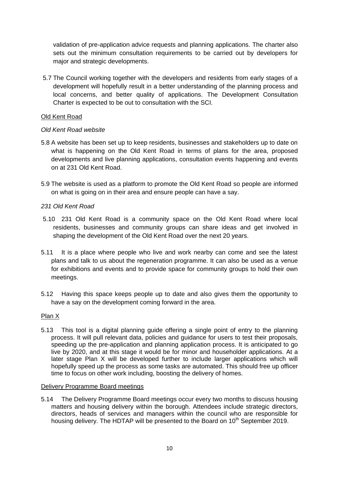validation of pre-application advice requests and planning applications. The charter also sets out the minimum consultation requirements to be carried out by developers for major and strategic developments.

5.7 The Council working together with the developers and residents from early stages of a development will hopefully result in a better understanding of the planning process and local concerns, and better quality of applications. The Development Consultation Charter is expected to be out to consultation with the SCI.

#### Old Kent Road

#### *Old Kent Road website*

- 5.8 A website has been set up to keep residents, businesses and stakeholders up to date on what is happening on the Old Kent Road in terms of plans for the area, proposed developments and live planning applications, consultation events happening and events on at 231 Old Kent Road.
- 5.9 The website is used as a platform to promote the Old Kent Road so people are informed on what is going on in their area and ensure people can have a say.

#### *231 Old Kent Road*

- 5.10 231 Old Kent Road is a community space on the Old Kent Road where local residents, businesses and community groups can share ideas and get involved in shaping the development of the Old Kent Road over the next 20 years.
- 5.11 It is a place where people who live and work nearby can come and see the latest plans and talk to us about the regeneration programme. It can also be used as a venue for exhibitions and events and to provide space for community groups to hold their own meetings.
- 5.12 Having this space keeps people up to date and also gives them the opportunity to have a say on the development coming forward in the area.

#### Plan X

5.13 This tool is a digital planning guide offering a single point of entry to the planning process. It will pull relevant data, policies and guidance for users to test their proposals, speeding up the pre-application and planning application process. It is anticipated to go live by 2020, and at this stage it would be for minor and householder applications. At a later stage Plan X will be developed further to include larger applications which will hopefully speed up the process as some tasks are automated. This should free up officer time to focus on other work including, boosting the delivery of homes.

#### Delivery Programme Board meetings

5.14 The Delivery Programme Board meetings occur every two months to discuss housing matters and housing delivery within the borough. Attendees include strategic directors, directors, heads of services and managers within the council who are responsible for housing delivery. The HDTAP will be presented to the Board on  $10<sup>th</sup>$  September 2019.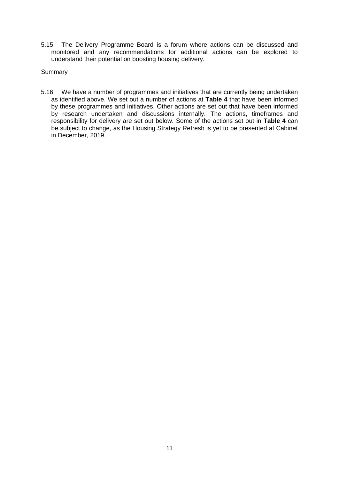5.15 The Delivery Programme Board is a forum where actions can be discussed and monitored and any recommendations for additional actions can be explored to understand their potential on boosting housing delivery.

#### Summary

5.16 We have a number of programmes and initiatives that are currently being undertaken as identified above. We set out a number of actions at **Table 4** that have been informed by these programmes and initiatives. Other actions are set out that have been informed by research undertaken and discussions internally. The actions, timeframes and responsibility for delivery are set out below. Some of the actions set out in **Table 4** can be subject to change, as the Housing Strategy Refresh is yet to be presented at Cabinet in December, 2019.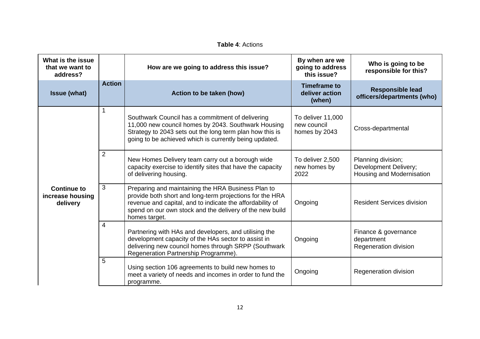|  | <b>Table 4: Actions</b> |
|--|-------------------------|
|--|-------------------------|

| What is the issue<br>that we want to<br>address?   |               | How are we going to address this issue?                                                                                                                                                                                                                  | By when are we<br>going to address<br>this issue? | Who is going to be<br>responsible for this?                              |
|----------------------------------------------------|---------------|----------------------------------------------------------------------------------------------------------------------------------------------------------------------------------------------------------------------------------------------------------|---------------------------------------------------|--------------------------------------------------------------------------|
| <b>Issue (what)</b>                                | <b>Action</b> | Action to be taken (how)                                                                                                                                                                                                                                 | <b>Timeframe to</b><br>deliver action<br>(when)   | <b>Responsible lead</b><br>officers/departments (who)                    |
|                                                    |               | Southwark Council has a commitment of delivering<br>11,000 new council homes by 2043. Southwark Housing<br>Strategy to 2043 sets out the long term plan how this is<br>going to be achieved which is currently being updated.                            | To deliver 11,000<br>new council<br>homes by 2043 | Cross-departmental                                                       |
|                                                    | 2             | New Homes Delivery team carry out a borough wide<br>capacity exercise to identify sites that have the capacity<br>of delivering housing.                                                                                                                 | To deliver 2,500<br>new homes by<br>2022          | Planning division;<br>Development Delivery;<br>Housing and Modernisation |
| <b>Continue to</b><br>increase housing<br>delivery | 3             | Preparing and maintaining the HRA Business Plan to<br>provide both short and long-term projections for the HRA<br>revenue and capital, and to indicate the affordability of<br>spend on our own stock and the delivery of the new build<br>homes target. | Ongoing                                           | <b>Resident Services division</b>                                        |
|                                                    | 4             | Partnering with HAs and developers, and utilising the<br>development capacity of the HAs sector to assist in<br>delivering new council homes through SRPP (Southwark<br>Regeneration Partnership Programme).                                             | Ongoing                                           | Finance & governance<br>department<br>Regeneration division              |
|                                                    | 5             | Using section 106 agreements to build new homes to<br>meet a variety of needs and incomes in order to fund the<br>programme.                                                                                                                             | Ongoing                                           | Regeneration division                                                    |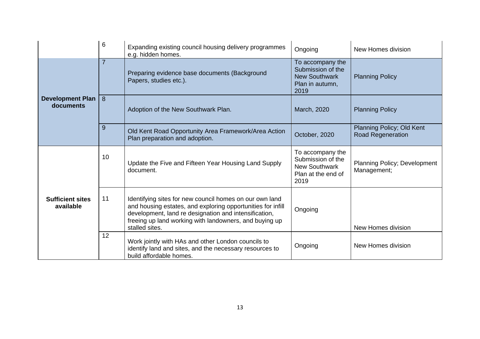|                                      | 6              | Expanding existing council housing delivery programmes<br>e.g. hidden homes.                                                                                                                                                                                | Ongoing                                                                                     | New Homes division                                    |
|--------------------------------------|----------------|-------------------------------------------------------------------------------------------------------------------------------------------------------------------------------------------------------------------------------------------------------------|---------------------------------------------------------------------------------------------|-------------------------------------------------------|
|                                      | $\overline{7}$ | Preparing evidence base documents (Background<br>Papers, studies etc.).                                                                                                                                                                                     | To accompany the<br>Submission of the<br><b>New Southwark</b><br>Plan in autumn,<br>2019    | <b>Planning Policy</b>                                |
| <b>Development Plan</b><br>documents | 8              | Adoption of the New Southwark Plan.                                                                                                                                                                                                                         | March, 2020                                                                                 | <b>Planning Policy</b>                                |
|                                      | 9              | Old Kent Road Opportunity Area Framework/Area Action<br>Plan preparation and adoption.                                                                                                                                                                      | October, 2020                                                                               | Planning Policy; Old Kent<br><b>Road Regeneration</b> |
|                                      | 10             | Update the Five and Fifteen Year Housing Land Supply<br>document.                                                                                                                                                                                           | To accompany the<br>Submission of the<br><b>New Southwark</b><br>Plan at the end of<br>2019 | Planning Policy; Development<br>Management;           |
| <b>Sufficient sites</b><br>available | 11             | Identifying sites for new council homes on our own land<br>and housing estates, and exploring opportunities for infill<br>development, land re designation and intensification,<br>freeing up land working with landowners, and buying up<br>stalled sites. | Ongoing                                                                                     | New Homes division                                    |
|                                      | 12             | Work jointly with HAs and other London councils to<br>identify land and sites, and the necessary resources to<br>build affordable homes.                                                                                                                    | Ongoing                                                                                     | New Homes division                                    |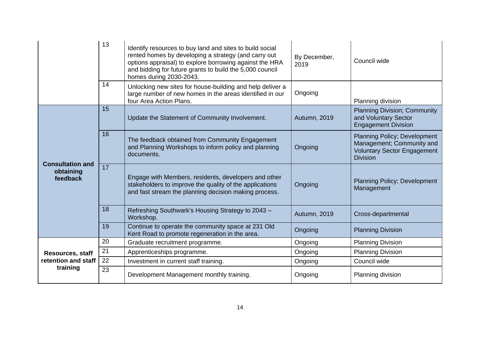|                                                  | 13 | Identify resources to buy land and sites to build social<br>rented homes by developing a strategy (and carry out<br>options appraisal) to explore borrowing against the HRA<br>and bidding for future grants to build the 5,000 council<br>homes during 2030-2043. | By December,<br>2019 | Council wide                                                                                                       |
|--------------------------------------------------|----|--------------------------------------------------------------------------------------------------------------------------------------------------------------------------------------------------------------------------------------------------------------------|----------------------|--------------------------------------------------------------------------------------------------------------------|
|                                                  | 14 | Unlocking new sites for house-building and help deliver a<br>large number of new homes in the areas identified in our<br>four Area Action Plans.                                                                                                                   | Ongoing              | Planning division                                                                                                  |
|                                                  | 15 | Update the Statement of Community Involvement.                                                                                                                                                                                                                     | Autumn, 2019         | <b>Planning Division; Community</b><br>and Voluntary Sector<br><b>Engagement Division</b>                          |
|                                                  | 16 | The feedback obtained from Community Engagement<br>and Planning Workshops to inform policy and planning<br>documents.                                                                                                                                              | Ongoing              | Planning Policy; Development<br>Management; Community and<br><b>Voluntary Sector Engagement</b><br><b>Division</b> |
| <b>Consultation and</b><br>obtaining<br>feedback | 17 | Engage with Members, residents, developers and other<br>stakeholders to improve the quality of the applications<br>and fast stream the planning decision making process.                                                                                           | Ongoing              | <b>Planning Policy; Development</b><br>Management                                                                  |
|                                                  | 18 | Refreshing Southwark's Housing Strategy to 2043 -<br>Workshop.                                                                                                                                                                                                     | Autumn, 2019         | Cross-departmental                                                                                                 |
|                                                  | 19 | Continue to operate the community space at 231 Old<br>Kent Road to promote regeneration in the area.                                                                                                                                                               | Ongoing              | <b>Planning Division</b>                                                                                           |
|                                                  | 20 | Graduate recruitment programme.                                                                                                                                                                                                                                    | Ongoing              | <b>Planning Division</b>                                                                                           |
| Resources, staff                                 | 21 | Apprenticeships programme.                                                                                                                                                                                                                                         | Ongoing              | <b>Planning Division</b>                                                                                           |
| retention and staff                              | 22 | Investment in current staff training.                                                                                                                                                                                                                              | Ongoing              | Council wide                                                                                                       |
| training                                         | 23 | Development Management monthly training.                                                                                                                                                                                                                           | Ongoing              | Planning division                                                                                                  |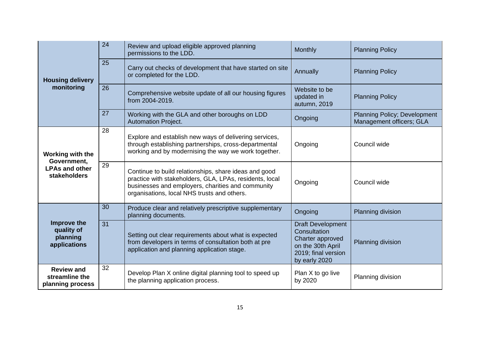|                                                         | 24 | Review and upload eligible approved planning<br>permissions to the LDD.                                                                                                                                              | Monthly                                                                                                                   | <b>Planning Policy</b>                                   |
|---------------------------------------------------------|----|----------------------------------------------------------------------------------------------------------------------------------------------------------------------------------------------------------------------|---------------------------------------------------------------------------------------------------------------------------|----------------------------------------------------------|
| <b>Housing delivery</b>                                 | 25 | Carry out checks of development that have started on site<br>or completed for the LDD.                                                                                                                               | Annually                                                                                                                  | <b>Planning Policy</b>                                   |
| monitoring                                              | 26 | Comprehensive website update of all our housing figures<br>from 2004-2019.                                                                                                                                           | Website to be<br>updated in<br>autumn, 2019                                                                               | <b>Planning Policy</b>                                   |
|                                                         | 27 | Working with the GLA and other boroughs on LDD<br><b>Automation Project.</b>                                                                                                                                         | Ongoing                                                                                                                   | Planning Policy; Development<br>Management officers; GLA |
| Working with the                                        | 28 | Explore and establish new ways of delivering services,<br>through establishing partnerships, cross-departmental<br>working and by modernising the way we work together.                                              | Ongoing                                                                                                                   | Council wide                                             |
| Government,<br><b>LPAs and other</b><br>stakeholders    | 29 | Continue to build relationships, share ideas and good<br>practice with stakeholders, GLA, LPAs, residents, local<br>businesses and employers, charities and community<br>organisations, local NHS trusts and others. | Ongoing                                                                                                                   | Council wide                                             |
|                                                         | 30 | Produce clear and relatively prescriptive supplementary<br>planning documents.                                                                                                                                       | Ongoing                                                                                                                   | Planning division                                        |
| Improve the<br>quality of<br>planning<br>applications   | 31 | Setting out clear requirements about what is expected<br>from developers in terms of consultation both at pre<br>application and planning application stage.                                                         | <b>Draft Development</b><br>Consultation<br>Charter approved<br>on the 30th April<br>2019; final version<br>by early 2020 | Planning division                                        |
| <b>Review and</b><br>streamline the<br>planning process | 32 | Develop Plan X online digital planning tool to speed up<br>the planning application process.                                                                                                                         | Plan X to go live<br>by 2020                                                                                              | Planning division                                        |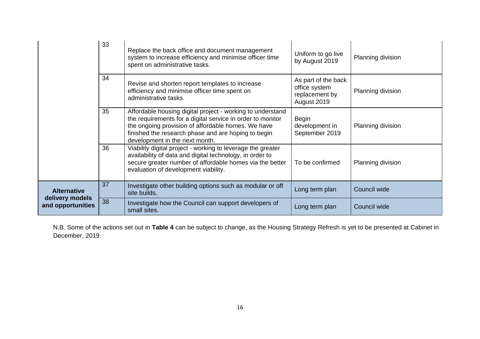|                                      | 33 | Replace the back office and document management<br>system to increase efficiency and minimise officer time<br>spent on administrative tasks.                                                                                                                            | Uniform to go live<br>by August 2019                                  | Planning division |
|--------------------------------------|----|-------------------------------------------------------------------------------------------------------------------------------------------------------------------------------------------------------------------------------------------------------------------------|-----------------------------------------------------------------------|-------------------|
|                                      | 34 | Revise and shorten report templates to increase<br>efficiency and minimise officer time spent on<br>administrative tasks.                                                                                                                                               | As part of the back<br>office system<br>replacement by<br>August 2019 | Planning division |
|                                      | 35 | Affordable housing digital project - working to understand<br>the requirements for a digital service in order to monitor<br>the ongoing provision of affordable homes. We have<br>finished the research phase and are hoping to begin<br>development in the next month. | <b>Begin</b><br>development in<br>September 2019                      | Planning division |
|                                      | 36 | Viability digital project - working to leverage the greater<br>availability of data and digital technology, in order to<br>secure greater number of affordable homes via the better<br>evaluation of development viability.                                             | To be confirmed                                                       | Planning division |
| <b>Alternative</b>                   | 37 | Investigate other building options such as modular or off<br>site builds.                                                                                                                                                                                               | Long term plan                                                        | Council wide      |
| delivery models<br>and opportunities | 38 | Investigate how the Council can support developers of<br>small sites.                                                                                                                                                                                                   | Long term plan                                                        | Council wide      |

N.B. Some of the actions set out in **Table 4** can be subject to change, as the Housing Strategy Refresh is yet to be presented at Cabinet in December, 2019.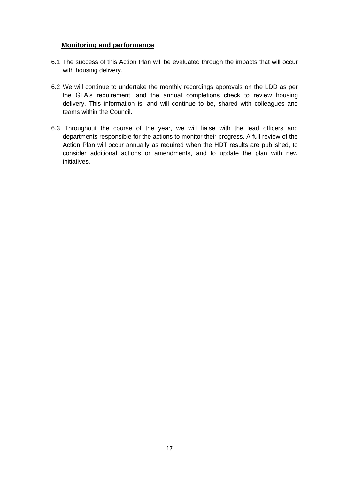## **Monitoring and performance**

- 6.1 The success of this Action Plan will be evaluated through the impacts that will occur with housing delivery.
- 6.2 We will continue to undertake the monthly recordings approvals on the LDD as per the GLA's requirement, and the annual completions check to review housing delivery. This information is, and will continue to be, shared with colleagues and teams within the Council.
- 6.3 Throughout the course of the year, we will liaise with the lead officers and departments responsible for the actions to monitor their progress. A full review of the Action Plan will occur annually as required when the HDT results are published, to consider additional actions or amendments, and to update the plan with new initiatives.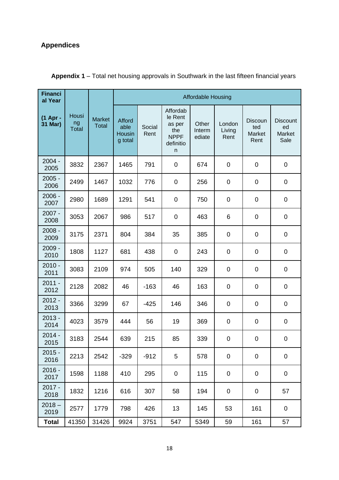## **Appendices**

| <b>Financi</b><br>al Year |                             |                               | <b>Affordable Housing</b>           |                |                                                                       |                           |                          |                                         |                                         |
|---------------------------|-----------------------------|-------------------------------|-------------------------------------|----------------|-----------------------------------------------------------------------|---------------------------|--------------------------|-----------------------------------------|-----------------------------------------|
| (1 Apr -<br>31 Mar)       | Housi<br>ng<br><b>Total</b> | <b>Market</b><br><b>Total</b> | Afford<br>able<br>Housin<br>g total | Social<br>Rent | Affordab<br>le Rent<br>as per<br>the<br><b>NPPF</b><br>definitio<br>n | Other<br>Interm<br>ediate | London<br>Living<br>Rent | <b>Discoun</b><br>ted<br>Market<br>Rent | <b>Discount</b><br>ed<br>Market<br>Sale |
| $2004 -$<br>2005          | 3832                        | 2367                          | 1465                                | 791            | $\pmb{0}$                                                             | 674                       | 0                        | $\mathbf 0$                             | $\mathbf 0$                             |
| $2005 -$<br>2006          | 2499                        | 1467                          | 1032                                | 776            | $\pmb{0}$                                                             | 256                       | 0                        | 0                                       | $\pmb{0}$                               |
| 2006 -<br>2007            | 2980                        | 1689                          | 1291                                | 541            | $\pmb{0}$                                                             | 750                       | 0                        | 0                                       | $\pmb{0}$                               |
| $2007 -$<br>2008          | 3053                        | 2067                          | 986                                 | 517            | $\pmb{0}$                                                             | 463                       | 6                        | $\pmb{0}$                               | $\pmb{0}$                               |
| $2008 -$<br>2009          | 3175                        | 2371                          | 804                                 | 384            | 35                                                                    | 385                       | 0                        | $\pmb{0}$                               | $\pmb{0}$                               |
| $2009 -$<br>2010          | 1808                        | 1127                          | 681                                 | 438            | $\pmb{0}$                                                             | 243                       | 0                        | $\pmb{0}$                               | $\pmb{0}$                               |
| $2010 -$<br>2011          | 3083                        | 2109                          | 974                                 | 505            | 140                                                                   | 329                       | 0                        | $\pmb{0}$                               | $\mathbf 0$                             |
| $2011 -$<br>2012          | 2128                        | 2082                          | 46                                  | $-163$         | 46                                                                    | 163                       | 0                        | 0                                       | $\mathbf 0$                             |
| $2012 -$<br>2013          | 3366                        | 3299                          | 67                                  | $-425$         | 146                                                                   | 346                       | 0                        | $\pmb{0}$                               | $\pmb{0}$                               |
| $2013 -$<br>2014          | 4023                        | 3579                          | 444                                 | 56             | 19                                                                    | 369                       | 0                        | $\mathbf 0$                             | $\pmb{0}$                               |
| $2014 -$<br>2015          | 3183                        | 2544                          | 639                                 | 215            | 85                                                                    | 339                       | 0                        | 0                                       | $\pmb{0}$                               |
| $2015 -$<br>2016          | 2213                        | 2542                          | $-329$                              | $-912$         | 5                                                                     | 578                       | $\pmb{0}$                | 0                                       | $\mathbf 0$                             |
| $2016 -$<br>2017          | 1598                        | 1188                          | 410                                 | 295            | $\pmb{0}$                                                             | 115                       | $\pmb{0}$                | 0                                       | 0                                       |
| $2017 -$<br>2018          | 1832                        | 1216                          | 616                                 | 307            | 58                                                                    | 194                       | 0                        | 0                                       | 57                                      |
| $2018 -$<br>2019          | 2577                        | 1779                          | 798                                 | 426            | 13                                                                    | 145                       | 53                       | 161                                     | $\mathbf 0$                             |
| <b>Total</b>              | 41350                       | 31426                         | 9924                                | 3751           | 547                                                                   | 5349                      | 59                       | 161                                     | 57                                      |

## **Appendix 1** – Total net housing approvals in Southwark in the last fifteen financial years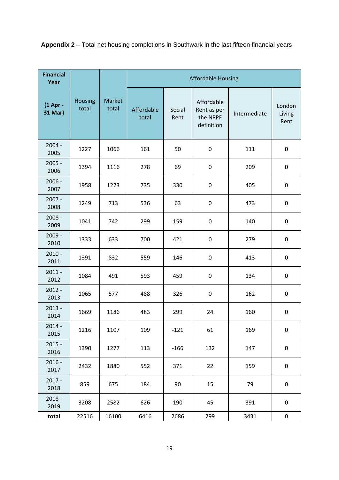**Appendix 2** – Total net housing completions in Southwark in the last fifteen financial years

| <b>Financial</b><br>Year |                         |                 | <b>Affordable Housing</b> |                |                                                     |              |                          |  |
|--------------------------|-------------------------|-----------------|---------------------------|----------------|-----------------------------------------------------|--------------|--------------------------|--|
| (1 Apr -<br>31 Mar)      | <b>Housing</b><br>total | Market<br>total | Affordable<br>total       | Social<br>Rent | Affordable<br>Rent as per<br>the NPPF<br>definition | Intermediate | London<br>Living<br>Rent |  |
| $2004 -$<br>2005         | 1227                    | 1066            | 161                       | 50             | $\pmb{0}$                                           | 111          | $\boldsymbol{0}$         |  |
| $2005 -$<br>2006         | 1394                    | 1116            | 278                       | 69             | $\pmb{0}$                                           | 209          | $\pmb{0}$                |  |
| $2006 -$<br>2007         | 1958                    | 1223            | 735                       | 330            | $\pmb{0}$                                           | 405          | $\boldsymbol{0}$         |  |
| $2007 -$<br>2008         | 1249                    | 713             | 536                       | 63             | 0                                                   | 473          | $\pmb{0}$                |  |
| $2008 -$<br>2009         | 1041                    | 742             | 299                       | 159            | $\pmb{0}$                                           | 140          | $\boldsymbol{0}$         |  |
| $2009 -$<br>2010         | 1333                    | 633             | 700                       | 421            | $\pmb{0}$                                           | 279          | $\boldsymbol{0}$         |  |
| $2010 -$<br>2011         | 1391                    | 832             | 559                       | 146            | 0                                                   | 413          | $\pmb{0}$                |  |
| $2011 -$<br>2012         | 1084                    | 491             | 593                       | 459            | $\pmb{0}$                                           | 134          | $\boldsymbol{0}$         |  |
| $2012 -$<br>2013         | 1065                    | 577             | 488                       | 326            | $\pmb{0}$                                           | 162          | $\boldsymbol{0}$         |  |
| $2013 -$<br>2014         | 1669                    | 1186            | 483                       | 299            | 24                                                  | 160          | $\boldsymbol{0}$         |  |
| $2014 -$<br>2015         | 1216                    | 1107            | 109                       | $-121$         | 61                                                  | 169          | $\boldsymbol{0}$         |  |
| $2015 -$<br>2016         | 1390                    | 1277            | 113                       | $-166$         | 132                                                 | 147          | $\mathbf 0$              |  |
| $2016 -$<br>2017         | 2432                    | 1880            | 552                       | 371            | 22                                                  | 159          | $\pmb{0}$                |  |
| $2017 -$<br>2018         | 859                     | 675             | 184                       | 90             | 15                                                  | 79           | $\mathbf 0$              |  |
| $2018 -$<br>2019         | 3208                    | 2582            | 626                       | 190            | 45                                                  | 391          | $\mathbf 0$              |  |
| total                    | 22516                   | 16100           | 6416                      | 2686           | 299                                                 | 3431         | $\pmb{0}$                |  |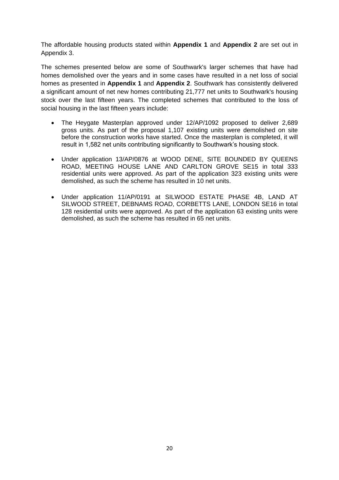The affordable housing products stated within **Appendix 1** and **Appendix 2** are set out in Appendix 3.

The schemes presented below are some of Southwark's larger schemes that have had homes demolished over the years and in some cases have resulted in a net loss of social homes as presented in **Appendix 1** and **Appendix 2**. Southwark has consistently delivered a significant amount of net new homes contributing 21,777 net units to Southwark's housing stock over the last fifteen years. The completed schemes that contributed to the loss of social housing in the last fifteen years include:

- The Heygate Masterplan approved under 12/AP/1092 proposed to deliver 2,689 gross units. As part of the proposal 1,107 existing units were demolished on site before the construction works have started. Once the masterplan is completed, it will result in 1,582 net units contributing significantly to Southwark's housing stock.
- Under application 13/AP/0876 at WOOD DENE, SITE BOUNDED BY QUEENS ROAD, MEETING HOUSE LANE AND CARLTON GROVE SE15 in total 333 residential units were approved. As part of the application 323 existing units were demolished, as such the scheme has resulted in 10 net units.
- Under application 11/AP/0191 at SILWOOD ESTATE PHASE 4B, LAND AT SILWOOD STREET, DEBNAMS ROAD, CORBETTS LANE, LONDON SE16 in total 128 residential units were approved. As part of the application 63 existing units were demolished, as such the scheme has resulted in 65 net units.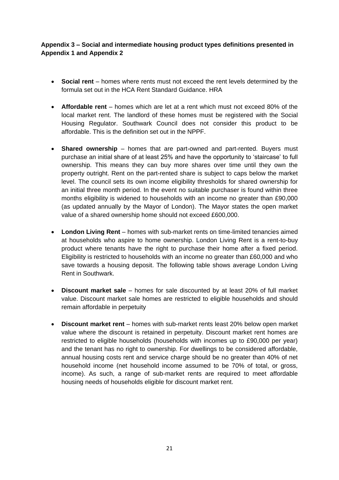## **Appendix 3 – Social and intermediate housing product types definitions presented in Appendix 1 and Appendix 2**

- **Social rent** homes where rents must not exceed the rent levels determined by the formula set out in the HCA Rent Standard Guidance. HRA
- **Affordable rent** homes which are let at a rent which must not exceed 80% of the local market rent. The landlord of these homes must be registered with the Social Housing Regulator. Southwark Council does not consider this product to be affordable. This is the definition set out in the NPPF.
- **Shared ownership** homes that are part-owned and part-rented. Buyers must purchase an initial share of at least 25% and have the opportunity to 'staircase' to full ownership. This means they can buy more shares over time until they own the property outright. Rent on the part-rented share is subject to caps below the market level. The council sets its own income eligibility thresholds for shared ownership for an initial three month period. In the event no suitable purchaser is found within three months eligibility is widened to households with an income no greater than £90,000 (as updated annually by the Mayor of London). The Mayor states the open market value of a shared ownership home should not exceed £600,000.
- **London Living Rent** homes with sub-market rents on time-limited tenancies aimed at households who aspire to home ownership. London Living Rent is a rent-to-buy product where tenants have the right to purchase their home after a fixed period. Eligibility is restricted to households with an income no greater than £60,000 and who save towards a housing deposit. The following table shows average London Living Rent in Southwark.
- **Discount market sale**  homes for sale discounted by at least 20% of full market value. Discount market sale homes are restricted to eligible households and should remain affordable in perpetuity
- **Discount market rent** homes with sub-market rents least 20% below open market value where the discount is retained in perpetuity. Discount market rent homes are restricted to eligible households (households with incomes up to £90,000 per year) and the tenant has no right to ownership. For dwellings to be considered affordable, annual housing costs rent and service charge should be no greater than 40% of net household income (net household income assumed to be 70% of total, or gross, income). As such, a range of sub-market rents are required to meet affordable housing needs of households eligible for discount market rent.